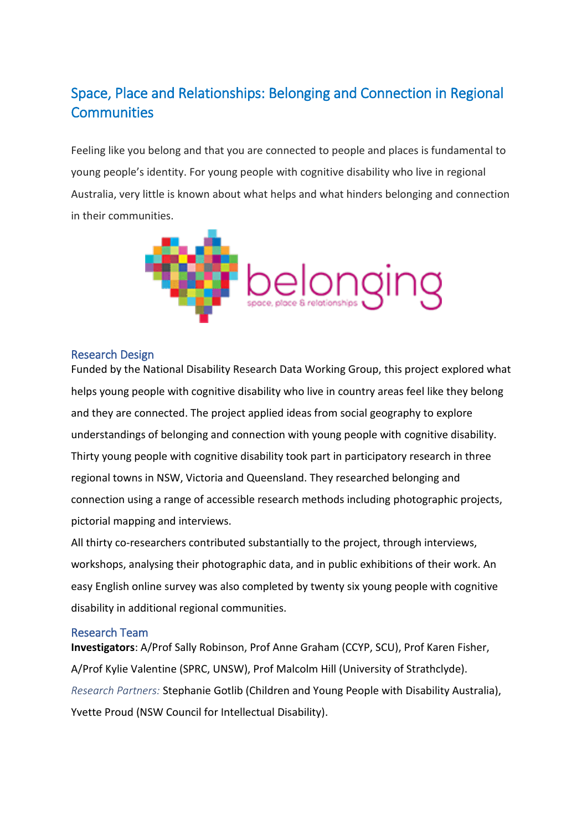## Space, Place and Relationships: Belonging and Connection in Regional **Communities**

Feeling like you belong and that you are connected to people and places is fundamental to young people's identity. For young people with cognitive disability who live in regional Australia, very little is known about what helps and what hinders belonging and connection in their communities.



## Research Design

Funded by the National Disability Research Data Working Group, this project explored what helps young people with cognitive disability who live in country areas feel like they belong and they are connected. The project applied ideas from social geography to explore understandings of belonging and connection with young people with cognitive disability. Thirty young people with cognitive disability took part in participatory research in three regional towns in NSW, Victoria and Queensland. They researched belonging and connection using a range of accessible research methods including photographic projects, pictorial mapping and interviews.

All thirty co-researchers contributed substantially to the project, through interviews, workshops, analysing their photographic data, and in public exhibitions of their work. An easy English online survey was also completed by twenty six young people with cognitive disability in additional regional communities.

## Research Team

**Investigators**: A/Prof Sally Robinson, Prof Anne Graham (CCYP, SCU), Prof Karen Fisher, A/Prof Kylie Valentine (SPRC, UNSW), Prof Malcolm Hill (University of Strathclyde). *Research Partners:* Stephanie Gotlib (Children and Young People with Disability Australia), Yvette Proud (NSW Council for Intellectual Disability).